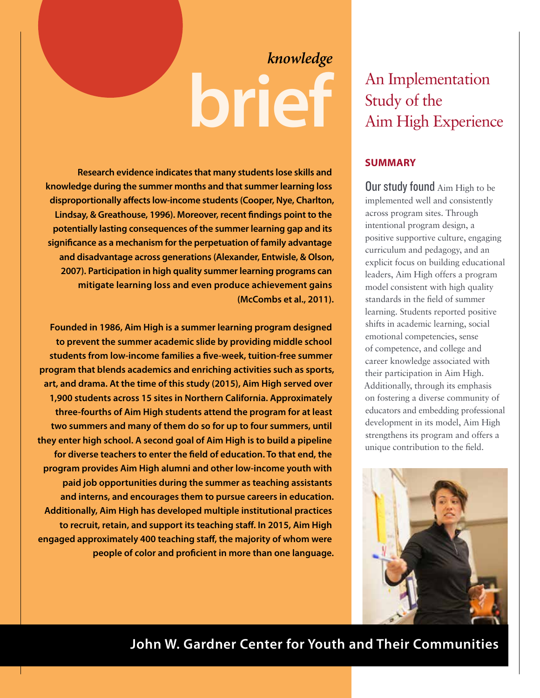# **brief** *knowledge*

**Research evidence indicates that many students lose skills and knowledge during the summer months and that summer learning loss disproportionally affects low-income students (Cooper, Nye, Charlton, Lindsay, & Greathouse, 1996). Moreover, recent findings point to the potentially lasting consequences of the summer learning gap and its significance as a mechanism for the perpetuation of family advantage and disadvantage across generations (Alexander, Entwisle, & Olson, 2007). Participation in high quality summer learning programs can mitigate learning loss and even produce achievement gains (McCombs et al., 2011).** 

**Founded in 1986, Aim High is a summer learning program designed to prevent the summer academic slide by providing middle school students from low-income families a five-week, tuition-free summer program that blends academics and enriching activities such as sports, art, and drama. At the time of this study (2015), Aim High served over 1,900 students across 15 sites in Northern California. Approximately three-fourths of Aim High students attend the program for at least two summers and many of them do so for up to four summers, until they enter high school. A second goal of Aim High is to build a pipeline for diverse teachers to enter the field of education. To that end, the program provides Aim High alumni and other low-income youth with paid job opportunities during the summer as teaching assistants and interns, and encourages them to pursue careers in education. Additionally, Aim High has developed multiple institutional practices to recruit, retain, and support its teaching staff. In 2015, Aim High engaged approximately 400 teaching staff, the majority of whom were people of color and proficient in more than one language.**

# An Implementation Study of the Aim High Experience

## **SUMMARY**

**Our study found** Aim High to be implemented well and consistently across program sites. Through intentional program design, a positive supportive culture, engaging curriculum and pedagogy, and an explicit focus on building educational leaders, Aim High offers a program model consistent with high quality standards in the field of summer learning. Students reported positive shifts in academic learning, social emotional competencies, sense of competence, and college and career knowledge associated with their participation in Aim High. Additionally, through its emphasis on fostering a diverse community of educators and embedding professional development in its model, Aim High strengthens its program and offers a unique contribution to the field.



## **John W. Gardner Center for Youth and Their Communities**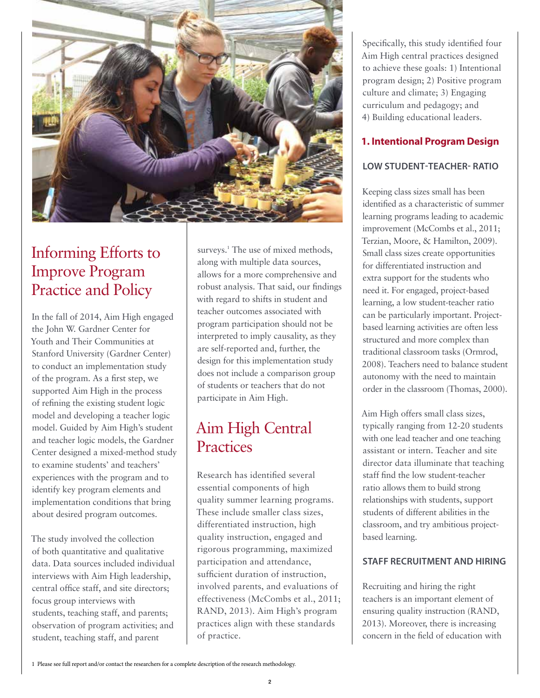

# Informing Efforts to Improve Program Practice and Policy

In the fall of 2014, Aim High engaged the John W. Gardner Center for Youth and Their Communities at Stanford University (Gardner Center) to conduct an implementation study of the program. As a first step, we supported Aim High in the process of refining the existing student logic model and developing a teacher logic model. Guided by Aim High's student and teacher logic models, the Gardner Center designed a mixed-method study to examine students' and teachers' experiences with the program and to identify key program elements and implementation conditions that bring about desired program outcomes.

The study involved the collection of both quantitative and qualitative data. Data sources included individual interviews with Aim High leadership, central office staff, and site directors; focus group interviews with students, teaching staff, and parents; observation of program activities; and student, teaching staff, and parent

surveys.<sup>1</sup> The use of mixed methods, along with multiple data sources, allows for a more comprehensive and robust analysis. That said, our findings with regard to shifts in student and teacher outcomes associated with program participation should not be interpreted to imply causality, as they are self-reported and, further, the design for this implementation study does not include a comparison group of students or teachers that do not participate in Aim High.

# Aim High Central **Practices**

Research has identified several essential components of high quality summer learning programs. These include smaller class sizes, differentiated instruction, high quality instruction, engaged and rigorous programming, maximized participation and attendance, sufficient duration of instruction, involved parents, and evaluations of effectiveness (McCombs et al., 2011; RAND, 2013). Aim High's program practices align with these standards of practice.

Specifically, this study identified four Aim High central practices designed to achieve these goals: 1) Intentional program design; 2) Positive program culture and climate; 3) Engaging curriculum and pedagogy; and 4) Building educational leaders.

### **1. Intentional Program Design**

#### **LOW STUDENT-TEACHER- RATIO**

Keeping class sizes small has been identified as a characteristic of summer learning programs leading to academic improvement (McCombs et al., 2011; Terzian, Moore, & Hamilton, 2009). Small class sizes create opportunities for differentiated instruction and extra support for the students who need it. For engaged, project-based learning, a low student-teacher ratio can be particularly important. Projectbased learning activities are often less structured and more complex than traditional classroom tasks (Ormrod, 2008). Teachers need to balance student autonomy with the need to maintain order in the classroom (Thomas, 2000).

Aim High offers small class sizes, typically ranging from 12-20 students with one lead teacher and one teaching assistant or intern. Teacher and site director data illuminate that teaching staff find the low student-teacher ratio allows them to build strong relationships with students, support students of different abilities in the classroom, and try ambitious projectbased learning.

#### **STAFF RECRUITMENT AND HIRING**

Recruiting and hiring the right teachers is an important element of ensuring quality instruction (RAND, 2013). Moreover, there is increasing concern in the field of education with

<sup>1</sup> Please see full report and/or contact the researchers for a complete description of the research methodology.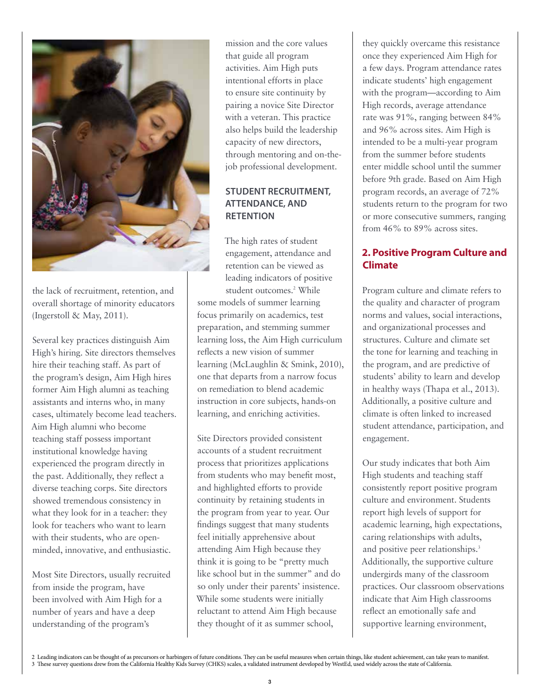

the lack of recruitment, retention, and overall shortage of minority educators (Ingerstoll & May, 2011).

Several key practices distinguish Aim High's hiring. Site directors themselves hire their teaching staff. As part of the program's design, Aim High hires former Aim High alumni as teaching assistants and interns who, in many cases, ultimately become lead teachers. Aim High alumni who become teaching staff possess important institutional knowledge having experienced the program directly in the past. Additionally, they reflect a diverse teaching corps. Site directors showed tremendous consistency in what they look for in a teacher: they look for teachers who want to learn with their students, who are openminded, innovative, and enthusiastic.

Most Site Directors, usually recruited from inside the program, have been involved with Aim High for a number of years and have a deep understanding of the program's

mission and the core values that guide all program activities. Aim High puts intentional efforts in place to ensure site continuity by pairing a novice Site Director with a veteran. This practice also helps build the leadership capacity of new directors, through mentoring and on-thejob professional development.

#### **STUDENT RECRUITMENT, ATTENDANCE, AND RETENTION**

The high rates of student engagement, attendance and retention can be viewed as leading indicators of positive student outcomes.<sup>2</sup> While some models of summer learning focus primarily on academics, test preparation, and stemming summer learning loss, the Aim High curriculum reflects a new vision of summer learning (McLaughlin & Smink, 2010), one that departs from a narrow focus on remediation to blend academic instruction in core subjects, hands-on learning, and enriching activities.

Site Directors provided consistent accounts of a student recruitment process that prioritizes applications from students who may benefit most, and highlighted efforts to provide continuity by retaining students in the program from year to year. Our findings suggest that many students feel initially apprehensive about attending Aim High because they think it is going to be "pretty much like school but in the summer" and do so only under their parents' insistence. While some students were initially reluctant to attend Aim High because they thought of it as summer school,

they quickly overcame this resistance once they experienced Aim High for a few days. Program attendance rates indicate students' high engagement with the program—according to Aim High records, average attendance rate was 91%, ranging between 84% and 96% across sites. Aim High is intended to be a multi-year program from the summer before students enter middle school until the summer before 9th grade. Based on Aim High program records, an average of 72% students return to the program for two or more consecutive summers, ranging from 46% to 89% across sites.

## **2. Positive Program Culture and Climate**

Program culture and climate refers to the quality and character of program norms and values, social interactions, and organizational processes and structures. Culture and climate set the tone for learning and teaching in the program, and are predictive of students' ability to learn and develop in healthy ways (Thapa et al., 2013). Additionally, a positive culture and climate is often linked to increased student attendance, participation, and engagement.

Our study indicates that both Aim High students and teaching staff consistently report positive program culture and environment. Students report high levels of support for academic learning, high expectations, caring relationships with adults, and positive peer relationships.<sup>3</sup> Additionally, the supportive culture undergirds many of the classroom practices. Our classroom observations indicate that Aim High classrooms reflect an emotionally safe and supportive learning environment,

<sup>2</sup> Leading indicators can be thought of as precursors or harbingers of future conditions. They can be useful measures when certain things, like student achievement, can take years to manifest. 3 These survey questions drew from the California Healthy Kids Survey (CHKS) scales, a validated instrument developed by WestEd, used widely across the state of California.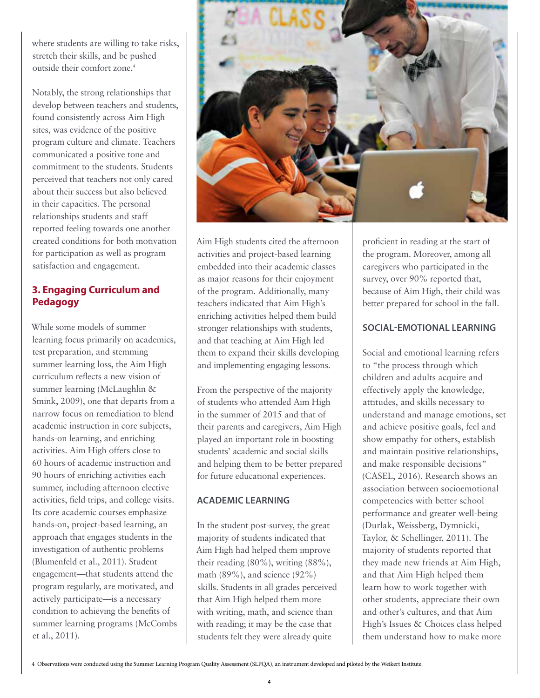where students are willing to take risks, stretch their skills, and be pushed outside their comfort zone.<sup>4</sup>

Notably, the strong relationships that develop between teachers and students, found consistently across Aim High sites, was evidence of the positive program culture and climate. Teachers communicated a positive tone and commitment to the students. Students perceived that teachers not only cared about their success but also believed in their capacities. The personal relationships students and staff reported feeling towards one another created conditions for both motivation for participation as well as program satisfaction and engagement.

## **3. Engaging Curriculum and Pedagogy**

While some models of summer learning focus primarily on academics, test preparation, and stemming summer learning loss, the Aim High curriculum reflects a new vision of summer learning (McLaughlin & Smink, 2009), one that departs from a narrow focus on remediation to blend academic instruction in core subjects, hands-on learning, and enriching activities. Aim High offers close to 60 hours of academic instruction and 90 hours of enriching activities each summer, including afternoon elective activities, field trips, and college visits. Its core academic courses emphasize hands-on, project-based learning, an approach that engages students in the investigation of authentic problems (Blumenfeld et al., 2011). Student engagement—that students attend the program regularly, are motivated, and actively participate—is a necessary condition to achieving the benefits of summer learning programs (McCombs et al., 2011).



Aim High students cited the afternoon activities and project-based learning embedded into their academic classes as major reasons for their enjoyment of the program. Additionally, many teachers indicated that Aim High's enriching activities helped them build stronger relationships with students, and that teaching at Aim High led them to expand their skills developing and implementing engaging lessons.

From the perspective of the majority of students who attended Aim High in the summer of 2015 and that of their parents and caregivers, Aim High played an important role in boosting students' academic and social skills and helping them to be better prepared for future educational experiences.

#### **ACADEMIC LEARNING**

In the student post-survey, the great majority of students indicated that Aim High had helped them improve their reading (80%), writing (88%), math (89%), and science (92%) skills. Students in all grades perceived that Aim High helped them more with writing, math, and science than with reading; it may be the case that students felt they were already quite

proficient in reading at the start of the program. Moreover, among all caregivers who participated in the survey, over 90% reported that, because of Aim High, their child was better prepared for school in the fall.

#### **SOCIAL-EMOTIONAL LEARNING**

Social and emotional learning refers to "the process through which children and adults acquire and effectively apply the knowledge, attitudes, and skills necessary to understand and manage emotions, set and achieve positive goals, feel and show empathy for others, establish and maintain positive relationships, and make responsible decisions" (CASEL, 2016). Research shows an association between socioemotional competencies with better school performance and greater well-being (Durlak, Weissberg, Dymnicki, Taylor, & Schellinger, 2011). The majority of students reported that they made new friends at Aim High, and that Aim High helped them learn how to work together with other students, appreciate their own and other's cultures, and that Aim High's Issues & Choices class helped them understand how to make more

<sup>4</sup> Observations were conducted using the Summer Learning Program Quality Assessment (SLPQA), an instrument developed and piloted by the Weikert Institute.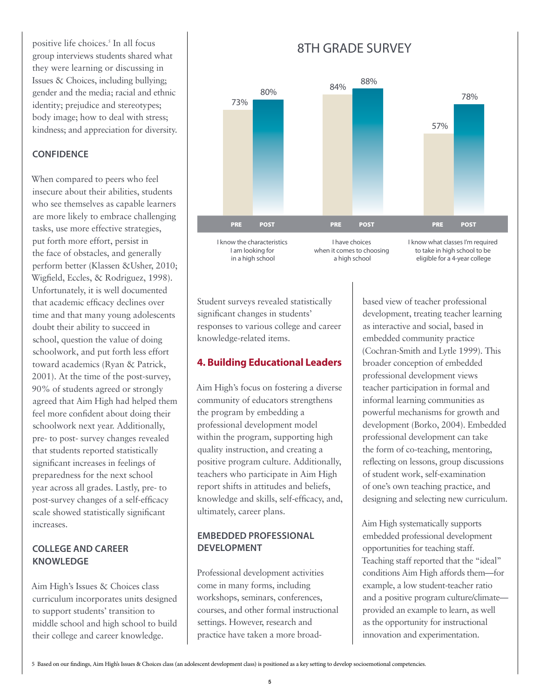positive life choices.<sup>5</sup> In all focus group interviews students shared what they were learning or discussing in Issues & Choices, including bullying; gender and the media; racial and ethnic identity; prejudice and stereotypes; body image; how to deal with stress; kindness; and appreciation for diversity.

#### **CONFIDENCE**

When compared to peers who feel insecure about their abilities, students who see themselves as capable learners are more likely to embrace challenging tasks, use more effective strategies, put forth more effort, persist in the face of obstacles, and generally perform better (Klassen &Usher, 2010; Wigfield, Eccles, & Rodriguez, 1998). Unfortunately, it is well documented that academic efficacy declines over time and that many young adolescents doubt their ability to succeed in school, question the value of doing schoolwork, and put forth less effort toward academics (Ryan & Patrick, 2001). At the time of the post-survey, 90% of students agreed or strongly agreed that Aim High had helped them feel more confident about doing their schoolwork next year. Additionally, pre- to post- survey changes revealed that students reported statistically significant increases in feelings of preparedness for the next school year across all grades. Lastly, pre- to post-survey changes of a self-efficacy scale showed statistically significant increases.

#### **COLLEGE AND CAREER KNOWLEDGE**

Aim High's Issues & Choices class curriculum incorporates units designed to support students' transition to middle school and high school to build their college and career knowledge.

## 8TH GRADE SURVEY



I am looking for in a high school

when it comes to choosing a high school

to take in high school to be eligible for a 4-year college

Student surveys revealed statistically significant changes in students' responses to various college and career knowledge-related items.

#### **4. Building Educational Leaders**

Aim High's focus on fostering a diverse community of educators strengthens the program by embedding a professional development model within the program, supporting high quality instruction, and creating a positive program culture. Additionally, teachers who participate in Aim High report shifts in attitudes and beliefs, knowledge and skills, self-efficacy, and, ultimately, career plans.

#### **EMBEDDED PROFESSIONAL DEVELOPMENT**

Professional development activities come in many forms, including workshops, seminars, conferences, courses, and other formal instructional settings. However, research and practice have taken a more broadbased view of teacher professional development, treating teacher learning as interactive and social, based in embedded community practice (Cochran-Smith and Lytle 1999). This broader conception of embedded professional development views teacher participation in formal and informal learning communities as powerful mechanisms for growth and development (Borko, 2004). Embedded professional development can take the form of co-teaching, mentoring, reflecting on lessons, group discussions of student work, self-examination of one's own teaching practice, and designing and selecting new curriculum.

Aim High systematically supports embedded professional development opportunities for teaching staff. Teaching staff reported that the "ideal" conditions Aim High affords them—for example, a low student-teacher ratio and a positive program culture/climate provided an example to learn, as well as the opportunity for instructional innovation and experimentation.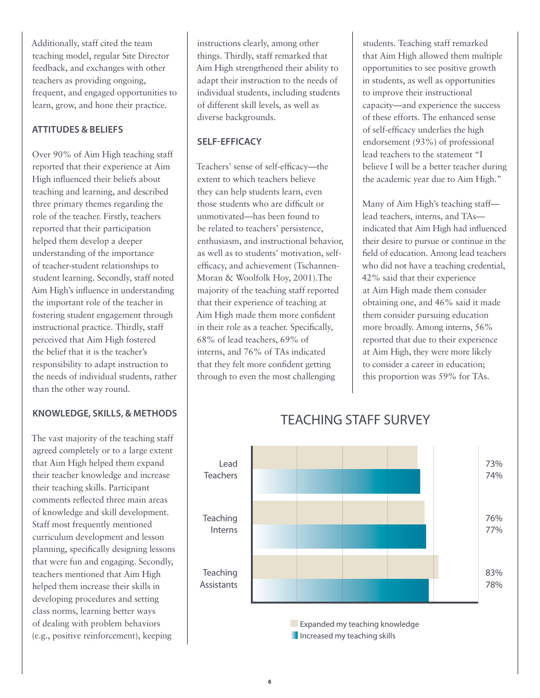Additionally, staff cited the team teaching model, regular Site Director feedback, and exchanges with other teachers as providing ongoing, frequent, and engaged opportunities to learn, grow, and hone their practice.

#### **ATTITUDES & BELIEFS**

Over 90% of Aim High teaching staff reported that their experience at Aim High influenced their beliefs about teaching and learning, and described three primary themes regarding the role of the teacher. Firstly, teachers reported that their participation helped them develop a deeper understanding of the importance of teacher-student relationships to student learning. Secondly, staff noted Aim High's influence in understanding the important role of the teacher in fostering student engagement through instructional practice. Thirdly, staff perceived that Aim High fostered the belief that it is the teacher's responsibility to adapt instruction to the needs of individual students, rather than the other way round.

#### **KNOWLEDGE, SKILLS, & METHODS**

The vast majority of the teaching staff agreed completely or to a large extent that Aim High helped them expand their teacher knowledge and increase their teaching skills. Participant comments reflected three main areas of knowledge and skill development. Staff most frequently mentioned curriculum development and lesson planning, specifically designing lessons that were fun and engaging. Secondly, teachers mentioned that Aim High helped them increase their skills in developing procedures and setting class norms, learning better ways of dealing with problem behaviors (e.g., positive reinforcement), keeping

instructions clearly, among other things. Thirdly, staff remarked that Aim High strengthened their ability to adapt their instruction to the needs of individual students, including students of different skill levels, as well as diverse backgrounds.

#### **SELF-EFFICACY**

Teachers' sense of self-efficacy—the extent to which teachers believe they can help students learn, even those students who are difficult or unmotivated—has been found to be related to teachers' persistence, enthusiasm, and instructional behavior, as well as to students' motivation, selfefficacy, and achievement (Tschannen-Moran & Woolfolk Hoy, 2001).The majority of the teaching staff reported that their experience of teaching at Aim High made them more confident in their role as a teacher. Specifically, 68% of lead teachers, 69% of interns, and 76% of TAs indicated that they felt more confident getting through to even the most challenging

students. Teaching staff remarked that Aim High allowed them multiple opportunities to see positive growth in students, as well as opportunities to improve their instructional capacity—and experience the success of these efforts. The enhanced sense of self-efficacy underlies the high endorsement (93%) of professional lead teachers to the statement "I believe I will be a better teacher during the academic year due to Aim High."

Many of Aim High's teaching staff lead teachers, interns, and TAs indicated that Aim High had influenced their desire to pursue or continue in the field of education. Among lead teachers who did not have a teaching credential, 42% said that their experience at Aim High made them consider obtaining one, and 46% said it made them consider pursuing education more broadly. Among interns, 56% reported that due to their experience at Aim High, they were more likely to consider a career in education; this proportion was 59% for TAs.



## TEACHING STAFF SURVEY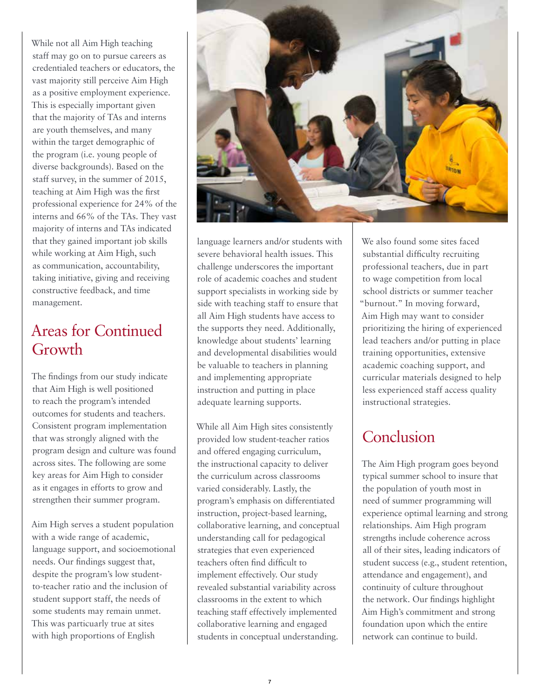While not all Aim High teaching staff may go on to pursue careers as credentialed teachers or educators, the vast majority still perceive Aim High as a positive employment experience. This is especially important given that the majority of TAs and interns are youth themselves, and many within the target demographic of the program (i.e. young people of diverse backgrounds). Based on the staff survey, in the summer of 2015, teaching at Aim High was the first professional experience for 24% of the interns and 66% of the TAs. They vast majority of interns and TAs indicated that they gained important job skills while working at Aim High, such as communication, accountability, taking initiative, giving and receiving constructive feedback, and time management.

# Areas for Continued Growth

The findings from our study indicate that Aim High is well positioned to reach the program's intended outcomes for students and teachers. Consistent program implementation that was strongly aligned with the program design and culture was found across sites. The following are some key areas for Aim High to consider as it engages in efforts to grow and strengthen their summer program.

Aim High serves a student population with a wide range of academic, language support, and socioemotional needs. Our findings suggest that, despite the program's low studentto-teacher ratio and the inclusion of student support staff, the needs of some students may remain unmet. This was particuarly true at sites with high proportions of English



language learners and/or students with severe behavioral health issues. This challenge underscores the important role of academic coaches and student support specialists in working side by side with teaching staff to ensure that all Aim High students have access to the supports they need. Additionally, knowledge about students' learning and developmental disabilities would be valuable to teachers in planning and implementing appropriate instruction and putting in place adequate learning supports.

While all Aim High sites consistently provided low student-teacher ratios and offered engaging curriculum, the instructional capacity to deliver the curriculum across classrooms varied considerably. Lastly, the program's emphasis on differentiated instruction, project-based learning, collaborative learning, and conceptual understanding call for pedagogical strategies that even experienced teachers often find difficult to implement effectively. Our study revealed substantial variability across classrooms in the extent to which teaching staff effectively implemented collaborative learning and engaged students in conceptual understanding.

We also found some sites faced substantial difficulty recruiting professional teachers, due in part to wage competition from local school districts or summer teacher "burnout." In moving forward, Aim High may want to consider prioritizing the hiring of experienced lead teachers and/or putting in place training opportunities, extensive academic coaching support, and curricular materials designed to help less experienced staff access quality instructional strategies.

# Conclusion

The Aim High program goes beyond typical summer school to insure that the population of youth most in need of summer programming will experience optimal learning and strong relationships. Aim High program strengths include coherence across all of their sites, leading indicators of student success (e.g., student retention, attendance and engagement), and continuity of culture throughout the network. Our findings highlight Aim High's commitment and strong foundation upon which the entire network can continue to build.